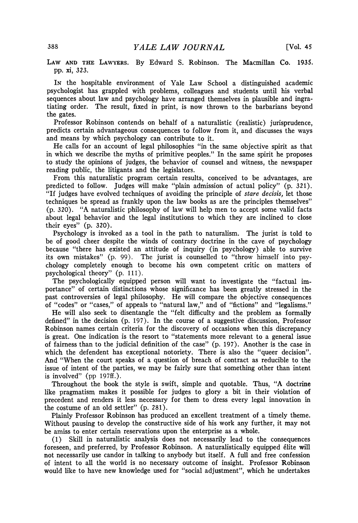**LAW AND THE LAWYERS. By Edward S. Robinson. The Macmillan Co. 1935. pp. xi, 323.** 

**IN the hospitable environment of Yale Law School a distinguished academic psychologist has grappled with problems, colleagues and students until his verbal sequences about law and psychology have arranged themselves in plausible and ingratiating order. The result, fixed in print, is now thrown to the barbarians beyond the gates.** 

**Professor Robinson contends on behalf of a naturalistic (realistic) jurisprudence, predicts certain advantageous consequences to follow from it, and discusses the ways and means by which psychology can contribute to it.** 

**He calls for an account of legal philosophies "in the same objective spirit as that in which we describe the myths of primitive peoples." In the same spirit he proposes to study the opinions of judges, the behavior of counsel and witness, the newspaper reading public, the litigants and the legislators.** 

**From this naturalistic program certain results, conceived to be advantages, are predicted to follow. Judges will make "plain admission of actual policy" (p. 321). "If judges have evolved techniques of avoiding the principle of stare decisis, let those techniques be spread as frankly upon the law books as are the principles themselves" (p. 320). "A naturalistic philosophy of law will help men to accept some valid facts about legal behavior and the legal institutions to which they are inclined to close their eyes" (p. 320).** 

**Psychology is invoked as a tool in the path to naturalism. The jurist is told to be of good cheer despite the winds of contrary doctrine in the cave of psychology because "there has existed an attitude of inquiry (in psychology) able to survive its own mistakes" (p. 99). The jurist is counselled to "throw himself into psychology completely enough to become his own competent critic on matters of psychological theory" (p. 111).** 

**The psychologically equipped person will want to investigate the "factual importance" of certain distinctions whose significance has been greatly stressed in the past controversies of legal philosophy. He will compare the objective consequences of "codes" or "cases," of appeals to "natural law," and of "fictions" and "legalisms."** 

**He will also seek to disentangle the "felt difficulty and the problem as formally defined" in the decision (p. 197). In the course of a suggestive discussion, Professor Robinson names certain criteria for the discovery of occasions when this discrepancy is great. One indication is the resort to "statements more relevant to a general issue of fairness than to the judicial definition of the case" (p. 197). Another is the case in**  which the defendent has exceptional notoriety. There is also the "queer decision". **And "When the court speaks of a question of breach of contract as reducible to the issue of intent of the parties, we may be fairly sure that something other than intent is involved" (pp 197ff.).** 

**Throughout the book the style is swift, simple and quotable. Thus, "A doctrine like pragmatism makes it possible for judges to glory a bit in their violation of precedent and renders it less necessary for them to dress every legal innovation in the costume of an old settler" (p. 281).** 

**Plainly Professor Robinson has produced an excellent treatment of a timely theme. Without pausing to develop the constructive side of his work any further, it may not be amiss to enter certain reservations upon the enterprise as a whole.** 

**(1) Skill in naturalistic analysis does not necessarily lead to the consequences foreseen, and preferred, by Professor Robinson. A naturalistically equipped elite will not necessarily use candor in talking to anybody but itself. A full and free confession of intent to all the world is no necessary outcome of insight. Professor Robinson would like to have new knowledge used for "social adjustment", which he undertakes**